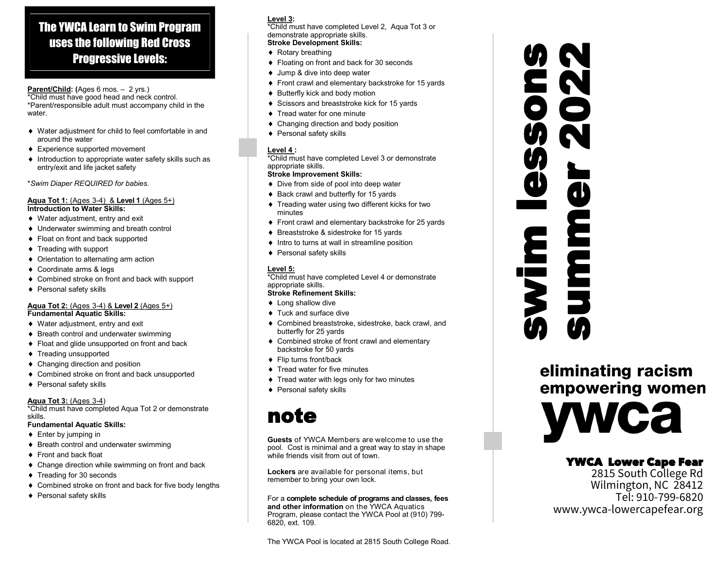# The YWCA Learn to Swim Program uses the following Red Cross Progressive Levels:

**Parent/Child: (**Ages 6 mos. – 2 yrs.)

\*Child must have good head and neck control. \*Parent/responsible adult must accompany child in the water.

- Water adjustment for child to feel comfortable in and around the water
- Experience supported movement
- ♦ Introduction to appropriate water safety skills such as entry/exit and life jacket safety

\**Swim Diaper REQUIRED for babies.*

### **Aqua Tot 1:** (Ages 3-4) & **Level 1** (Ages 5+) **Introduction to Water Skills:**

- ◆ Water adjustment, entry and exit
- Underwater swimming and breath control
- ◆ Float on front and back supported
- ◆ Treading with support
- ◆ Orientation to alternating arm action
- ◆ Coordinate arms & legs
- Combined stroke on front and back with support
- ◆ Personal safety skills

# **Aqua Tot 2:** (Ages 3-4) & **Level 2** (Ages 5+)

**Fundamental Aquatic Skills:**

- ◆ Water adjustment, entry and exit ♦ Breath control and underwater swimming
- ◆ Float and glide unsupported on front and back
- ◆ Treading unsupported
- Changing direction and position
- Combined stroke on front and back unsupported
- ◆ Personal safety skills

# **Aqua Tot 3:** (Ages 3-4)

\*Child must have completed Aqua Tot 2 or demonstrate skills.

# **Fundamental Aquatic Skills:**

- ◆ Enter by jumping in
- ♦ Breath control and underwater swimming
- ◆ Front and back float
- ◆ Change direction while swimming on front and back
- ◆ Treading for 30 seconds
- ◆ Combined stroke on front and back for five body lengths
- ◆ Personal safety skills

# **Level 3:**

\*Child must have completed Level 2, Aqua Tot 3 or demonstrate appropriate skills.

**Stroke Development Skills:**

- ◆ Rotary breathing
- ◆ Floating on front and back for 30 seconds
- ◆ Jump & dive into deep water
- Front crawl and elementary backstroke for 15 yards
- $\triangleleft$  Butterfly kick and body motion
- ♦ Scissors and breaststroke kick for 15 yards
- ◆ Tread water for one minute
- ◆ Changing direction and body position
- ◆ Personal safety skills

# **Level 4 :**

\*Child must have completed Level 3 or demonstrate appropriate skills.

# **Stroke Improvement Skills:**

- ◆ Dive from side of pool into deep water
- ♦ Back crawl and butterfly for 15 yards
- Treading water using two different kicks for two minutes
- ◆ Front crawl and elementary backstroke for 25 yards
- ♦ Breaststroke & sidestroke for 15 yards
- $\bullet$  Intro to turns at wall in streamline position
- ◆ Personal safety skills

# **Level 5:**

\*Child must have completed Level 4 or demonstrate appropriate skills.

# **Stroke Refinement Skills:**

- ◆ Long shallow dive
- ◆ Tuck and surface dive
- Combined breaststroke, sidestroke, back crawl, and butterfly for 25 yards
- ◆ Combined stroke of front crawl and elementary backstroke for 50 yards
- ◆ Flip turns front/back
- ◆ Tread water for five minutes
- **Tread water with legs only for two minutes**
- ◆ Personal safety skills

# note

**Guests** of YWCA Members are welcome to use the pool. Cost is minimal and a great way to stay in shape while friends visit from out of town.

**Lockers** are available for personal items, but remember to bring your own lock.

# For a **complete schedule of programs and classes, fees**

**and other information** on the YWCA Aquatics Program, please contact the YWCA Pool at (910) 799- 6820, ext. 109.

# s<br>2<br>2<br>2

eliminating racism empowering women **Ca** 

# YWCA Lower Cape Fear

2815 South College Rd Wilmington, NC 28412 Tel: 910-799-6820 www.ywca-lowercapefear.org